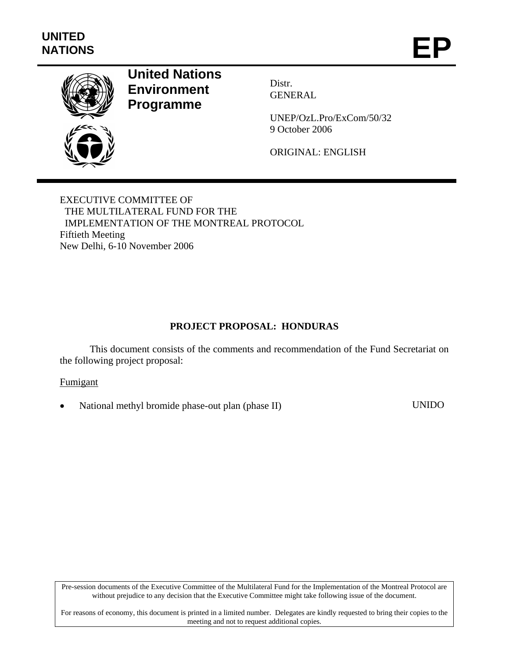

# **United Nations Environment Programme**

Distr. GENERAL

UNEP/OzL.Pro/ExCom/50/32 9 October 2006

ORIGINAL: ENGLISH

EXECUTIVE COMMITTEE OF THE MULTILATERAL FUND FOR THE IMPLEMENTATION OF THE MONTREAL PROTOCOL Fiftieth Meeting New Delhi, 6-10 November 2006

## **PROJECT PROPOSAL: HONDURAS**

This document consists of the comments and recommendation of the Fund Secretariat on the following project proposal:

#### Fumigant

National methyl bromide phase-out plan (phase II) UNIDO

Pre-session documents of the Executive Committee of the Multilateral Fund for the Implementation of the Montreal Protocol are without prejudice to any decision that the Executive Committee might take following issue of the document.

For reasons of economy, this document is printed in a limited number. Delegates are kindly requested to bring their copies to the meeting and not to request additional copies.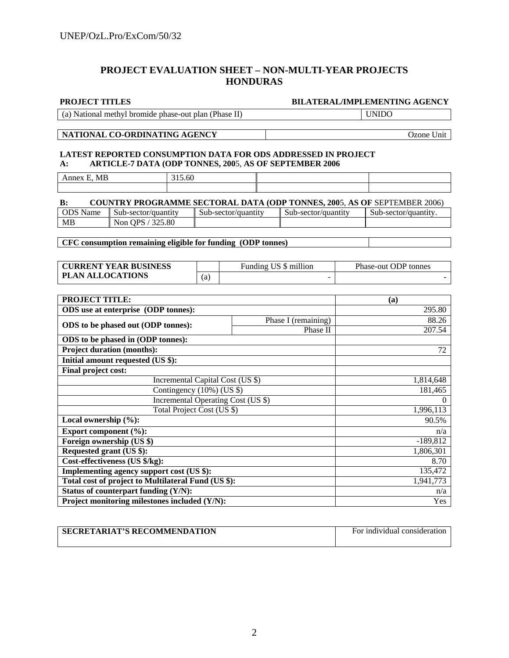#### **PROJECT EVALUATION SHEET – NON-MULTI-YEAR PROJECTS HONDURAS**

#### **PROJECT TITLES BILATERAL/IMPLEMENTING AGENCY**

| (a) National methyl bromide phase-out plan (Phase II) | UNIDO |
|-------------------------------------------------------|-------|
|-------------------------------------------------------|-------|

#### **NATIONAL CO-ORDINATING AGENCY** 202010 2011

#### **LATEST REPORTED CONSUMPTION DATA FOR ODS ADDRESSED IN PROJECT A: ARTICLE-7 DATA (ODP TONNES, 200**5, **AS OF SEPTEMBER 2006**

| MB<br>$\sim$<br>Annex<br>н. | $\sim$ $\sim$<br>$\sim$ $\sim$<br>15.0U |  |
|-----------------------------|-----------------------------------------|--|
|                             |                                         |  |

| <b>COUNTRY PROGRAMME SECTORAL DATA (ODP TONNES, 2005, AS OF SEPTEMBER 2006)</b><br><b>B:</b> |                     |                     |                                    |                      |
|----------------------------------------------------------------------------------------------|---------------------|---------------------|------------------------------------|----------------------|
| <b>ODS</b> Name                                                                              | Sub-sector/quantity | Sub-sector/quantity | $\blacksquare$ Sub-sector/quantity | Sub-sector/quantity. |
| MВ                                                                                           | Non OPS / 325.80    |                     |                                    |                      |

**CFC consumption remaining eligible for funding (ODP tonnes)** 

| <b>CURRENT YEAR BUSINESS</b> |     | Funding US \$ million | Phase-out ODP tonnes |
|------------------------------|-----|-----------------------|----------------------|
| <b>PLAN ALLOCATIONS</b>      | (a) |                       |                      |

| <b>PROJECT TITLE:</b>                               |                     | (a)        |
|-----------------------------------------------------|---------------------|------------|
| ODS use at enterprise (ODP tonnes):                 |                     | 295.80     |
|                                                     | Phase I (remaining) | 88.26      |
| ODS to be phased out (ODP tonnes):                  | Phase II            | 207.54     |
| ODS to be phased in (ODP tonnes):                   |                     |            |
| <b>Project duration (months):</b>                   |                     | 72         |
| Initial amount requested (US \$):                   |                     |            |
| Final project cost:                                 |                     |            |
| Incremental Capital Cost (US \$)                    |                     | 1,814,648  |
| Contingency $(10\%)$ (US \$)                        |                     | 181,465    |
| Incremental Operating Cost (US \$)                  |                     | $\Omega$   |
| Total Project Cost (US \$)                          |                     | 1,996,113  |
| Local ownership $(\%):$                             |                     | 90.5%      |
| Export component $(\%):$                            |                     | n/a        |
| Foreign ownership (US \$)                           |                     | $-189,812$ |
| Requested grant (US \$):                            |                     | 1,806,301  |
| Cost-effectiveness (US \$/kg):                      |                     | 8.70       |
| Implementing agency support cost (US \$):           |                     | 135,472    |
| Total cost of project to Multilateral Fund (US \$): |                     | 1,941,773  |
| Status of counterpart funding (Y/N):                |                     | n/a        |
| Project monitoring milestones included (Y/N):       |                     | Yes        |

| <b>SECRETARIAT'S RECOMMENDATION</b> | For individual consideration |
|-------------------------------------|------------------------------|
|                                     |                              |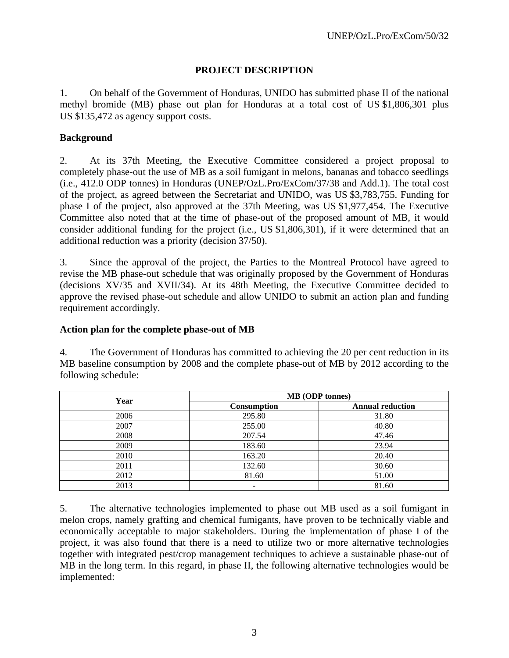### **PROJECT DESCRIPTION**

1. On behalf of the Government of Honduras, UNIDO has submitted phase II of the national methyl bromide (MB) phase out plan for Honduras at a total cost of US \$1,806,301 plus US \$135,472 as agency support costs.

#### **Background**

2. At its 37th Meeting, the Executive Committee considered a project proposal to completely phase-out the use of MB as a soil fumigant in melons, bananas and tobacco seedlings (i.e., 412.0 ODP tonnes) in Honduras (UNEP/OzL.Pro/ExCom/37/38 and Add.1). The total cost of the project, as agreed between the Secretariat and UNIDO, was US \$3,783,755. Funding for phase I of the project, also approved at the 37th Meeting, was US \$1,977,454. The Executive Committee also noted that at the time of phase-out of the proposed amount of MB, it would consider additional funding for the project (i.e., US \$1,806,301), if it were determined that an additional reduction was a priority (decision 37/50).

3. Since the approval of the project, the Parties to the Montreal Protocol have agreed to revise the MB phase-out schedule that was originally proposed by the Government of Honduras (decisions XV/35 and XVII/34). At its 48th Meeting, the Executive Committee decided to approve the revised phase-out schedule and allow UNIDO to submit an action plan and funding requirement accordingly.

#### **Action plan for the complete phase-out of MB**

4. The Government of Honduras has committed to achieving the 20 per cent reduction in its MB baseline consumption by 2008 and the complete phase-out of MB by 2012 according to the following schedule:

| Year | <b>MB</b> (ODP tonnes) |                         |  |
|------|------------------------|-------------------------|--|
|      | Consumption            | <b>Annual reduction</b> |  |
| 2006 | 295.80                 | 31.80                   |  |
| 2007 | 255.00                 | 40.80                   |  |
| 2008 | 207.54                 | 47.46                   |  |
| 2009 | 183.60                 | 23.94                   |  |
| 2010 | 163.20                 | 20.40                   |  |
| 2011 | 132.60                 | 30.60                   |  |
| 2012 | 81.60                  | 51.00                   |  |
| 2013 | -                      | 81.60                   |  |

5. The alternative technologies implemented to phase out MB used as a soil fumigant in melon crops, namely grafting and chemical fumigants, have proven to be technically viable and economically acceptable to major stakeholders. During the implementation of phase I of the project, it was also found that there is a need to utilize two or more alternative technologies together with integrated pest/crop management techniques to achieve a sustainable phase-out of MB in the long term. In this regard, in phase II, the following alternative technologies would be implemented: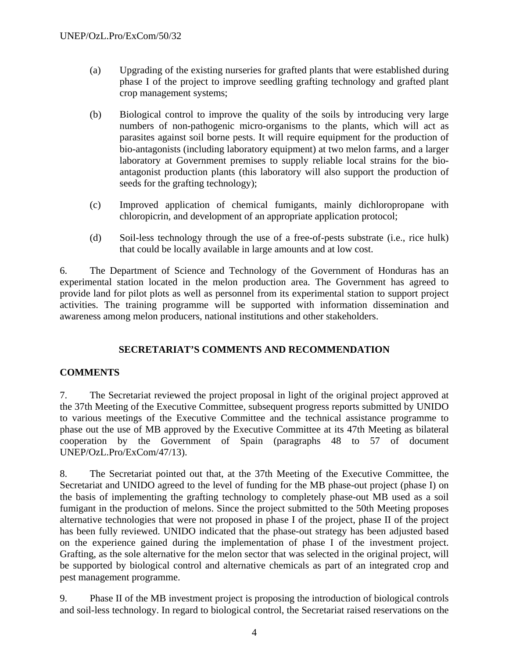- (a) Upgrading of the existing nurseries for grafted plants that were established during phase I of the project to improve seedling grafting technology and grafted plant crop management systems;
- (b) Biological control to improve the quality of the soils by introducing very large numbers of non-pathogenic micro-organisms to the plants, which will act as parasites against soil borne pests. It will require equipment for the production of bio-antagonists (including laboratory equipment) at two melon farms, and a larger laboratory at Government premises to supply reliable local strains for the bioantagonist production plants (this laboratory will also support the production of seeds for the grafting technology);
- (c) Improved application of chemical fumigants, mainly dichloropropane with chloropicrin, and development of an appropriate application protocol;
- (d) Soil-less technology through the use of a free-of-pests substrate (i.e., rice hulk) that could be locally available in large amounts and at low cost.

6. The Department of Science and Technology of the Government of Honduras has an experimental station located in the melon production area. The Government has agreed to provide land for pilot plots as well as personnel from its experimental station to support project activities. The training programme will be supported with information dissemination and awareness among melon producers, national institutions and other stakeholders.

## **SECRETARIAT'S COMMENTS AND RECOMMENDATION**

## **COMMENTS**

7. The Secretariat reviewed the project proposal in light of the original project approved at the 37th Meeting of the Executive Committee, subsequent progress reports submitted by UNIDO to various meetings of the Executive Committee and the technical assistance programme to phase out the use of MB approved by the Executive Committee at its 47th Meeting as bilateral cooperation by the Government of Spain (paragraphs 48 to 57 of document UNEP/OzL.Pro/ExCom/47/13).

8. The Secretariat pointed out that, at the 37th Meeting of the Executive Committee, the Secretariat and UNIDO agreed to the level of funding for the MB phase-out project (phase I) on the basis of implementing the grafting technology to completely phase-out MB used as a soil fumigant in the production of melons. Since the project submitted to the 50th Meeting proposes alternative technologies that were not proposed in phase I of the project, phase II of the project has been fully reviewed. UNIDO indicated that the phase-out strategy has been adjusted based on the experience gained during the implementation of phase I of the investment project. Grafting, as the sole alternative for the melon sector that was selected in the original project, will be supported by biological control and alternative chemicals as part of an integrated crop and pest management programme.

9. Phase II of the MB investment project is proposing the introduction of biological controls and soil-less technology. In regard to biological control, the Secretariat raised reservations on the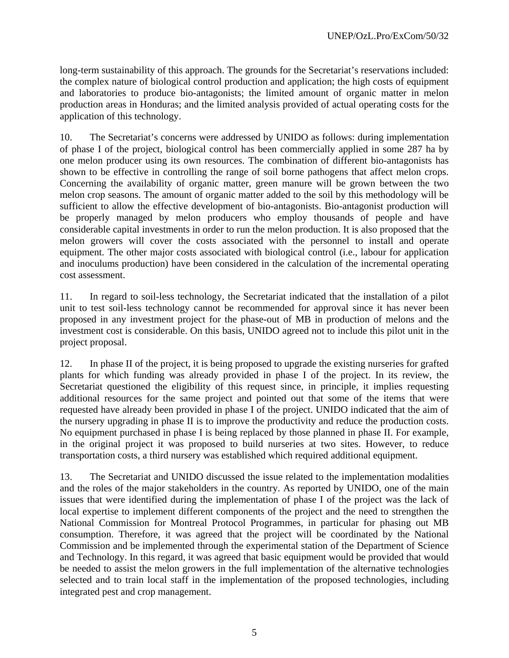long-term sustainability of this approach. The grounds for the Secretariat's reservations included: the complex nature of biological control production and application; the high costs of equipment and laboratories to produce bio-antagonists; the limited amount of organic matter in melon production areas in Honduras; and the limited analysis provided of actual operating costs for the application of this technology.

10. The Secretariat's concerns were addressed by UNIDO as follows: during implementation of phase I of the project, biological control has been commercially applied in some 287 ha by one melon producer using its own resources. The combination of different bio-antagonists has shown to be effective in controlling the range of soil borne pathogens that affect melon crops. Concerning the availability of organic matter, green manure will be grown between the two melon crop seasons. The amount of organic matter added to the soil by this methodology will be sufficient to allow the effective development of bio-antagonists. Bio-antagonist production will be properly managed by melon producers who employ thousands of people and have considerable capital investments in order to run the melon production. It is also proposed that the melon growers will cover the costs associated with the personnel to install and operate equipment. The other major costs associated with biological control (i.e., labour for application and inoculums production) have been considered in the calculation of the incremental operating cost assessment.

11. In regard to soil-less technology, the Secretariat indicated that the installation of a pilot unit to test soil-less technology cannot be recommended for approval since it has never been proposed in any investment project for the phase-out of MB in production of melons and the investment cost is considerable. On this basis, UNIDO agreed not to include this pilot unit in the project proposal.

12. In phase II of the project, it is being proposed to upgrade the existing nurseries for grafted plants for which funding was already provided in phase I of the project. In its review, the Secretariat questioned the eligibility of this request since, in principle, it implies requesting additional resources for the same project and pointed out that some of the items that were requested have already been provided in phase I of the project. UNIDO indicated that the aim of the nursery upgrading in phase II is to improve the productivity and reduce the production costs. No equipment purchased in phase I is being replaced by those planned in phase II. For example, in the original project it was proposed to build nurseries at two sites. However, to reduce transportation costs, a third nursery was established which required additional equipment.

13. The Secretariat and UNIDO discussed the issue related to the implementation modalities and the roles of the major stakeholders in the country. As reported by UNIDO, one of the main issues that were identified during the implementation of phase I of the project was the lack of local expertise to implement different components of the project and the need to strengthen the National Commission for Montreal Protocol Programmes, in particular for phasing out MB consumption. Therefore, it was agreed that the project will be coordinated by the National Commission and be implemented through the experimental station of the Department of Science and Technology. In this regard, it was agreed that basic equipment would be provided that would be needed to assist the melon growers in the full implementation of the alternative technologies selected and to train local staff in the implementation of the proposed technologies, including integrated pest and crop management.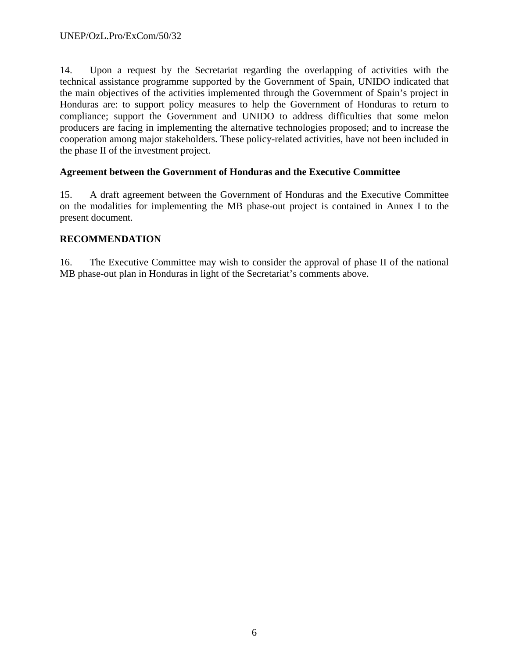14. Upon a request by the Secretariat regarding the overlapping of activities with the technical assistance programme supported by the Government of Spain, UNIDO indicated that the main objectives of the activities implemented through the Government of Spain's project in Honduras are: to support policy measures to help the Government of Honduras to return to compliance; support the Government and UNIDO to address difficulties that some melon producers are facing in implementing the alternative technologies proposed; and to increase the cooperation among major stakeholders. These policy-related activities, have not been included in the phase II of the investment project.

## **Agreement between the Government of Honduras and the Executive Committee**

15. A draft agreement between the Government of Honduras and the Executive Committee on the modalities for implementing the MB phase-out project is contained in Annex I to the present document.

#### **RECOMMENDATION**

16. The Executive Committee may wish to consider the approval of phase II of the national MB phase-out plan in Honduras in light of the Secretariat's comments above.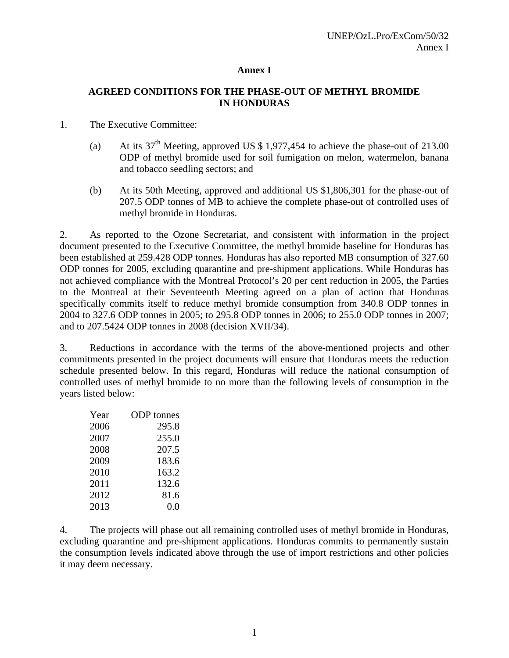### **Annex I**

## **AGREED CONDITIONS FOR THE PHASE-OUT OF METHYL BROMIDE IN HONDURAS**

#### 1. The Executive Committee:

- (a) At its  $37<sup>th</sup>$  Meeting, approved US \$ 1,977,454 to achieve the phase-out of 213.00 ODP of methyl bromide used for soil fumigation on melon, watermelon, banana and tobacco seedling sectors; and
- (b) At its 50th Meeting, approved and additional US \$1,806,301 for the phase-out of 207.5 ODP tonnes of MB to achieve the complete phase-out of controlled uses of methyl bromide in Honduras.

2. As reported to the Ozone Secretariat, and consistent with information in the project document presented to the Executive Committee, the methyl bromide baseline for Honduras has been established at 259.428 ODP tonnes. Honduras has also reported MB consumption of 327.60 ODP tonnes for 2005, excluding quarantine and pre-shipment applications. While Honduras has not achieved compliance with the Montreal Protocol's 20 per cent reduction in 2005, the Parties to the Montreal at their Seventeenth Meeting agreed on a plan of action that Honduras specifically commits itself to reduce methyl bromide consumption from 340.8 ODP tonnes in 2004 to 327.6 ODP tonnes in 2005; to 295.8 ODP tonnes in 2006; to 255.0 ODP tonnes in 2007; and to 207.5424 ODP tonnes in 2008 (decision XVII/34).

3. Reductions in accordance with the terms of the above-mentioned projects and other commitments presented in the project documents will ensure that Honduras meets the reduction schedule presented below. In this regard, Honduras will reduce the national consumption of controlled uses of methyl bromide to no more than the following levels of consumption in the years listed below:

| Year | <b>ODP</b> tonnes |
|------|-------------------|
| 2006 | 295.8             |
| 2007 | 255.0             |
| 2008 | 207.5             |
| 2009 | 183.6             |
| 2010 | 163.2             |
| 2011 | 132.6             |
| 2012 | 81.6              |
| 2013 | 0.0               |

4. The projects will phase out all remaining controlled uses of methyl bromide in Honduras, excluding quarantine and pre-shipment applications. Honduras commits to permanently sustain the consumption levels indicated above through the use of import restrictions and other policies it may deem necessary.